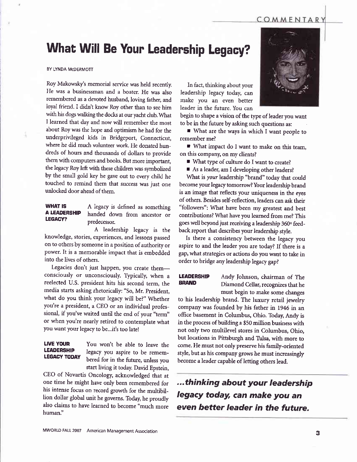### COMMENTARY

# What Will Be Your Leadership Legacy?

### BY LYNDA McDERMOTT

Roy Makowsky's memorial service was held recently. He was a businessman and a boater. He was also remembered as a devoted husband, loving father, and loyal friend. I didn't know Roy other than to see him with his dogs walking the docks at our yacht club. What I learned that day and now will remember the most about Roy was the hope and optimism he had for the underprivileged kids in Bridgeport, Connecticut, where he did much yolunteer work. He donated hundreds of hours and thousands of dollars to provide them with computers and books. But more important, the legacy Roy left with these children was symbolized by the small gold key he gave out to every child he touched to remind them that success was just one unlocked door ahead of them.

WHAT IS A legacy is defined as something<br>A LEADERSHIP handed down from ancestar or A LEADERSHIP handed down from ancestor or<br>
predecessor.

A leadership legacy is the knowledge, stories, experiences, and lessons passed on to others bysomeone in a position of authority or power. It is a memorable impact that is embedded into the lives of others.

Legacies don't just happen, you create themconsciously or unconsciously. Typically, when a reelected U.S. president hits his second term, the media starts asking rhetorically: "So, Mr. president, what do you think your legacy will be?" Whether you're a president, a CEO or an individual professional, if you've waited until the end of your "term" or when you're nearly retired to contemplate what you want your legacy to be...it's too late!

**LIVE YOUR** You won't be able to leave the<br>**LEADERSHIP** logacy you conjug to be sensored **LEADERSHIP** legacy you aspire to be remem-<br>**LEGACY TODAY** bered for in the future, unless you start liying it today. David Epstein,

CEO of Novartis Oncology, acknowledged that at one time he might have only been remembered for his intense focus on record growth for the multibillion dollar global unit he governs. Today, he proudly also claims to have learned to become "much more human."

In fact, thinking about your leadership legacy today, can make you an even better leader in the future. You can

begin to shape a vision of the type of leader you want to be in the future by asking such questions as:

**F** What are the ways in which I want people to remember me?

I What impact do I want to make on this team, on this company, on my clients?

■ What type of culture do I want to create?

As a leader, am I developing other leaders?

What is your leadership "brand" today that could become your legacy tomorrow? Your leadership brand is an image that reflects your uniqueness in the eyes<br>of others. Besides self-reflection, leaders can ask their "followers": What have been my greatest and best contributions? What have you learned from me? This goes well beyond just receiving a leadership 360° feedback report that describes your leadership style.

Is there a consistency between the legacy you aspire to and the leader you are today? If there is a gap, what strategies or actions do you want to take in order to bridge any leadership legacy gap?

**LEADERSHIP** Andy Johnson, chairman of The<br>**BRAND** Diamond Collar recognizes that he Diamond Cellar, recognizes that he must begin to make some changes

to his leadership brand. The luxury retail jewelry company was founded by his father in 1946 in an office basement in Columbus, Ohio. Today, Andy is in the process of building a \$50 million business with not only two multilevel stores in Columbus, Ohio, but locations in Pittsburgh and Tulsa, with more to come. He must not only preserve his family-oriented style, but as his company grows he must increasingly become a leader capable of letting others lead.

...thinking about your leadership Iegacy today, can make you an eyen better leader in the future.